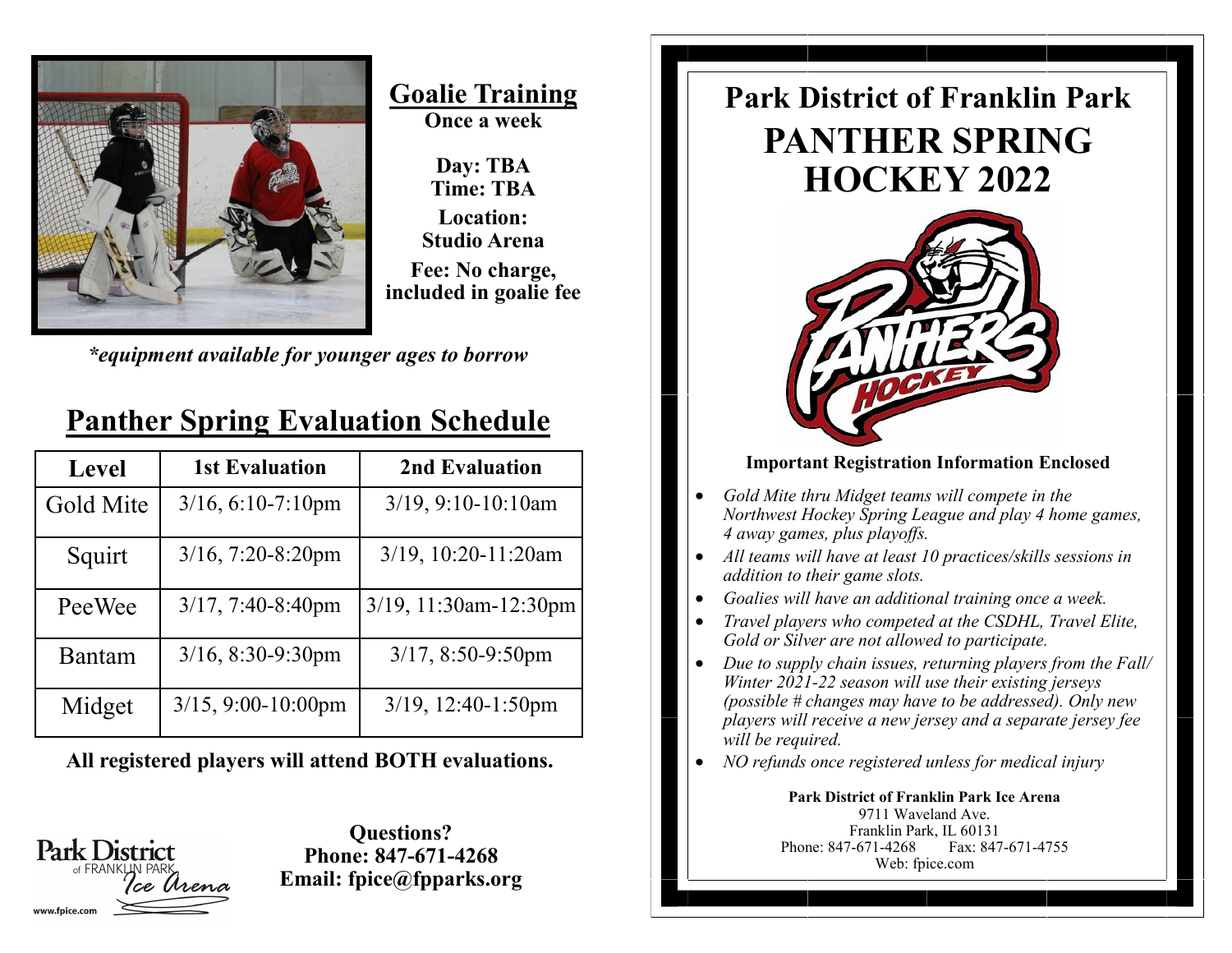

**Goalie Training Once a week**

**Day: TBA Time: TBA Location: Studio Arena Fee: No charge, included in goalie fee**

*\*equipment available for younger ages to borrow*

| <b>Level</b> | <b>1st Evaluation</b>   | 2nd Evaluation           |
|--------------|-------------------------|--------------------------|
| Gold Mite    | $3/16, 6:10-7:10$ pm    | $3/19$ , $9:10-10:10$ am |
| Squirt       | $3/16$ , 7:20-8:20pm    | $3/19$ , 10:20-11:20am   |
| PeeWee       | $3/17, 7:40-8:40$ pm    | 3/19, 11:30am-12:30pm    |
| Bantam       | $3/16$ , $8:30-9:30$ pm | $3/17, 8:50-9:50$ pm     |
| Midget       | $3/15$ , 9:00-10:00pm   | $3/19$ , 12:40-1:50pm    |

## **Panther Spring Evaluation Schedule**

**All registered players will attend BOTH evaluations.**

**Park District** 

**Questions? Phone: 847-671-4268 Email: fpice@fpparks.org**

## **PANTHER SPRING HOCKEY 2022 Park District of Franklin Park**



#### **Important Registration Information Enclosed**

- *Gold Mite thru Midget teams will compete in the Northwest Hockey Spring League and play 4 home games, 4 away games, plus playoffs.*
- *All teams will have at least 10 practices/skills sessions in addition to their game slots.*
- *Goalies will have an additional training once a week.*
- *Travel players who competed at the CSDHL, Travel Elite, Gold or Silver are not allowed to participate.*
- *Due to supply chain issues, returning players from the Fall/ Winter 2021-22 season will use their existing jerseys (possible # changes may have to be addressed). Only new players will receive a new jersey and a separate jersey fee will be required.*
- *NO refunds once registered unless for medical injury*

**Park District of Franklin Park Ice Arena** 9711 Waveland Ave. Franklin Park, IL 60131 Phone: 847-671-4268 Fax: 847-671-4755 Web: fpice.com